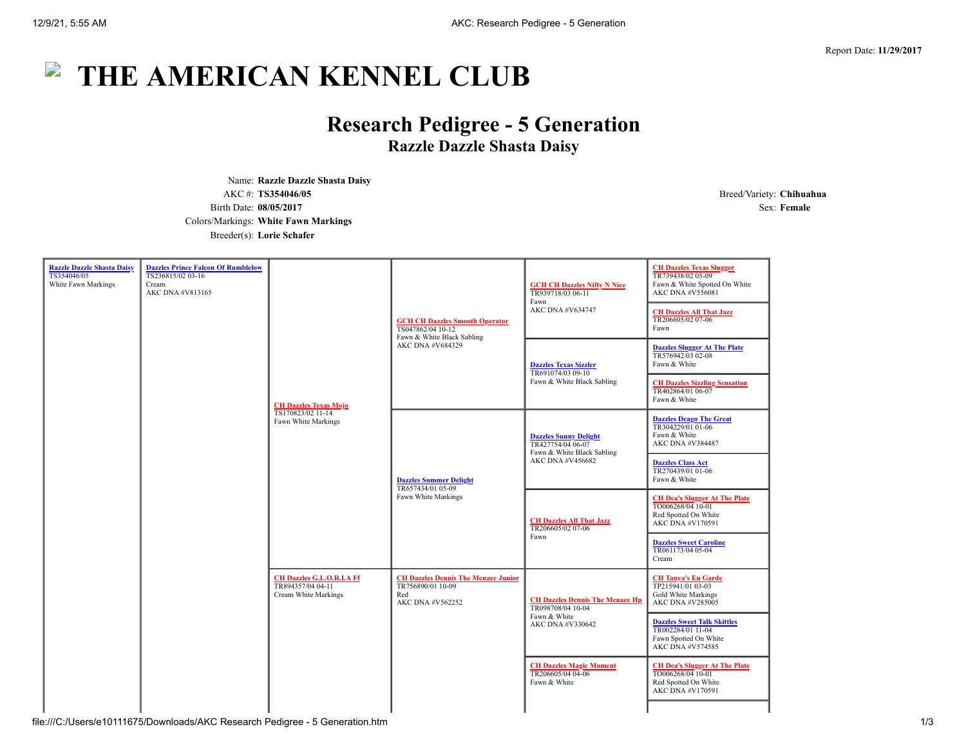# $\overline{\phantom{a}}$ **THE AMERICAN KENNEL CLUB**

# **Research Pedigree - 5 Generation Razzle Dazzle Shasta Daisy**

Name: **Razzle Dazzle Shasta Daisy** AKC #: **TS354046/05** Breed/Variety: **Chihuahua** Birth Date: **08/05/2017** Sex: **Female** Colors/Markings: **White Fawn Markings** Breeder(s): **Lorie Schafer**

| <b>Razzle Dazzle Shasta Daisy</b><br>TS354046/05<br>White Fawn Markings | <b>Dazzles Prince Falcon Of Rumblelow</b><br>TS236815/02 03-16<br>Cream<br>AKC DNA #V813165 | <b>CH Dazzles Texas Mojo</b><br>TS170823/02 11-14<br>Fawn White Markings      | <b>GCH CH Dazzles Smooth Operator</b><br>TS047862/04 10-12<br>Fawn & White Black Sabling<br>AKC DNA #V684329 | <b>GCH CH Dazzles Nifty N Nice</b><br>TR939718/03 06-11<br>Fawn<br>AKC DNA #V634747                 | <b>CH Dazzles Texas Slugger</b><br>TR739438/02 05-09<br>Fawn & White Spotted On White<br>AKC DNA #V556081<br><b>CH Dazzles All That Jazz</b><br>TR206605/02 07-06<br>Fawn |
|-------------------------------------------------------------------------|---------------------------------------------------------------------------------------------|-------------------------------------------------------------------------------|--------------------------------------------------------------------------------------------------------------|-----------------------------------------------------------------------------------------------------|---------------------------------------------------------------------------------------------------------------------------------------------------------------------------|
|                                                                         |                                                                                             |                                                                               |                                                                                                              | <b>Dazzles Texas Sizzler</b><br>TR691074/03 09-10<br>Fawn & White Black Sabling                     | <b>Dazzles Slugger At The Plate</b><br>TR576942/03 02-08<br>Fawn & White                                                                                                  |
|                                                                         |                                                                                             |                                                                               |                                                                                                              |                                                                                                     | <b>CH Dazzles Sizzling Sensation</b><br>TR402864/01 06-07<br>Fawn & White                                                                                                 |
|                                                                         |                                                                                             |                                                                               | <b>Dazzles Summer Delight</b><br>TR657434/01 05-09<br>Fawn White Markings                                    | <b>Dazzles Sunny Delight</b><br>TR427754/04 06-07<br>Fawn & White Black Sabling<br>AKC DNA #V456682 | <b>Dazzles Deago The Great</b><br>TR304229/01 01-06<br>Fawn & White<br>AKC DNA #V384487                                                                                   |
|                                                                         |                                                                                             |                                                                               |                                                                                                              |                                                                                                     | <b>Dazzles Class Act</b><br>TR270439/01 01-06<br>Fawn & White                                                                                                             |
|                                                                         |                                                                                             |                                                                               |                                                                                                              | <b>CH Dazzles All That Jazz</b><br>TR206605/02 07-06<br>Fawn                                        | <b>CH Dea's Slugger At The Plate</b><br>TO006268/04 10-01<br>Red Spotted On White<br>AKC DNA #V170591                                                                     |
|                                                                         |                                                                                             |                                                                               |                                                                                                              |                                                                                                     | <b>Dazzles Sweet Caroline</b><br>TR061173/04 05-04<br>Cream                                                                                                               |
|                                                                         |                                                                                             | <b>CH Dazzles G.L.O.R.I.A Ff</b><br>TR894357/04 04-11<br>Cream White Markings | <b>CH Dazzles Dennis The Menace Junior</b><br>TR756890/01 10-09<br>Red<br>AKC DNA #V562252                   | <b>CH Dazzles Dennis The Menace Hp</b><br>TR098708/04 10-04<br>Fawn & White<br>AKC DNA #V330642     | <b>CH Tanya's En Garde</b><br>TP215941/01 03-03<br>Gold White Markings<br>AKC DNA #V285005                                                                                |
|                                                                         |                                                                                             |                                                                               |                                                                                                              |                                                                                                     | <b>Dazzles Sweet Talk Skittles</b><br>TR002284/01 11-04<br>Fawn Spotted On White<br>AKC DNA #V574585                                                                      |
|                                                                         |                                                                                             |                                                                               |                                                                                                              | <b>CH Dazzles Magic Moment</b><br>TR206605/04 04-06<br>Fawn & White                                 | <b>CH Dea's Slugger At The Plate</b><br>TO006268/04 10-01<br>Red Spotted On White<br>AKC DNA #V170591                                                                     |

### file:///C:/Users/e10111675/Downloads/AKC Research Pedigree - 5 Generation.htm 1/3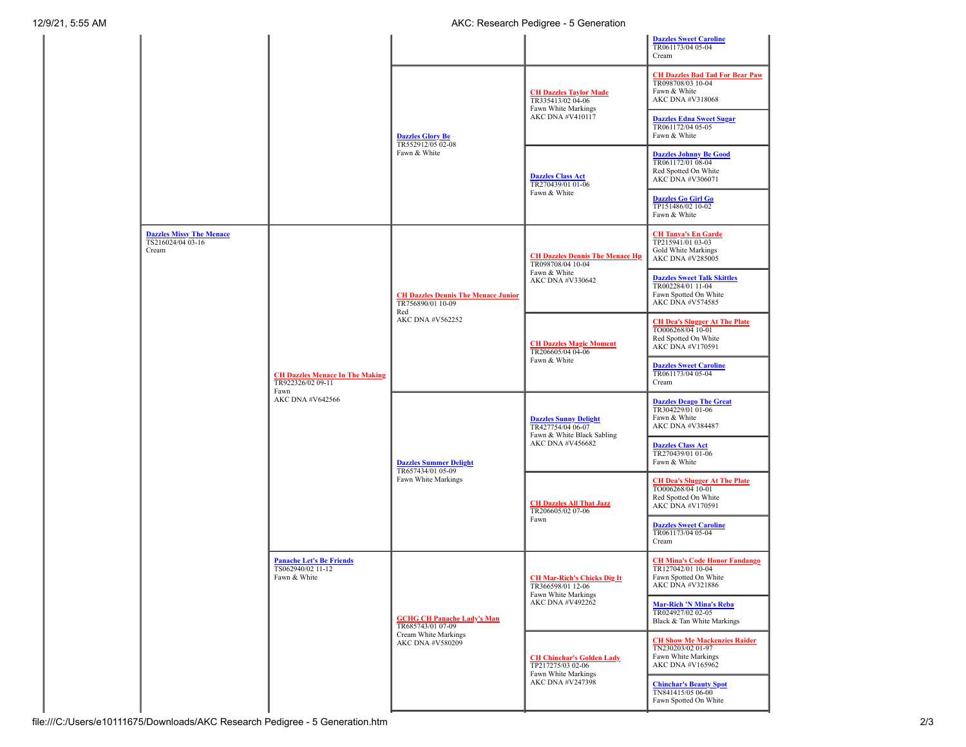|                                                               |                                                                                                                                                                 |                                                                                                    |                                                                                                     | <b>Dazzles Sweet Caroline</b><br>TR061173/04 05-04<br>Cream                                            |
|---------------------------------------------------------------|-----------------------------------------------------------------------------------------------------------------------------------------------------------------|----------------------------------------------------------------------------------------------------|-----------------------------------------------------------------------------------------------------|--------------------------------------------------------------------------------------------------------|
|                                                               |                                                                                                                                                                 | <b>Dazzles Glory Be</b><br>TR552912/05 02-08<br>Fawn & White                                       | <b>CH Dazzles Taylor Made</b><br>TR335413/02 04-06<br>Fawn White Markings<br>AKC DNA #V410117       | <b>CH Dazzles Bad Tad For Bear Paw</b><br>TR098708/03 10-04<br>Fawn & White<br>AKC DNA #V318068        |
|                                                               |                                                                                                                                                                 |                                                                                                    |                                                                                                     | <b>Dazzles Edna Sweet Sugar</b><br>TR061172/04 05-05<br>Fawn & White                                   |
|                                                               |                                                                                                                                                                 |                                                                                                    | <b>Dazzles Class Act</b><br>TR270439/01 01-06<br>Fawn & White                                       | <b>Dazzles Johnny Be Good</b><br>TR061172/01 08-04<br>Red Spotted On White<br>AKC DNA #V306071         |
|                                                               |                                                                                                                                                                 |                                                                                                    |                                                                                                     | <b>Dazzles Go Girl Go</b><br>TP151486/02 10-02<br>Fawn & White                                         |
| <b>Dazzles Missy The Menace</b><br>TS216024/04 03-16<br>Cream | <b>CH Dazzles Menace In The Making</b><br>TR922326/02 09-11<br>Fawn<br>AKC DNA #V642566<br><b>Panache Let's Be Friends</b><br>TS062940/02 11-12<br>Fawn & White | <b>CH Dazzles Dennis The Menace Junior</b><br>TR756890/01 10-09<br>Red<br>AKC DNA #V562252         | <b>CH Dazzles Dennis The Menace Hp</b><br>TR098708/04 10-04<br>Fawn & White<br>AKC DNA #V330642     | <b>CH Tanya's En Garde</b><br>TP215941/01 03-03<br>Gold White Markings<br>AKC DNA #V285005             |
|                                                               |                                                                                                                                                                 |                                                                                                    |                                                                                                     | <b>Dazzles Sweet Talk Skittles</b><br>TR002284/01 11-04<br>Fawn Spotted On White<br>AKC DNA #V574585   |
|                                                               |                                                                                                                                                                 |                                                                                                    | <b>CH Dazzles Magic Moment</b><br>TR206605/04 04-06<br>Fawn & White                                 | <b>CH Dea's Slugger At The Plate</b><br>TO006268/04 10-01<br>Red Spotted On White<br>AKC DNA #V170591  |
|                                                               |                                                                                                                                                                 |                                                                                                    |                                                                                                     | <b>Dazzles Sweet Caroline</b><br>TR061173/04 05-04<br>Cream                                            |
|                                                               |                                                                                                                                                                 | <b>Dazzles Summer Delight</b><br>TR657434/01 05-09<br>Fawn White Markings                          | <b>Dazzles Sunny Delight</b><br>TR427754/04 06-07<br>Fawn & White Black Sabling<br>AKC DNA #V456682 | <b>Dazzles Deago The Great</b><br>TR304229/01 01-06<br>Fawn & White<br>AKC DNA #V384487                |
|                                                               |                                                                                                                                                                 |                                                                                                    |                                                                                                     | <b>Dazzles Class Act</b><br>TR270439/01 01-06<br>Fawn & White                                          |
|                                                               |                                                                                                                                                                 |                                                                                                    | <b>CH Dazzles All That Jazz</b><br>TR206605/02 07-06<br>Fawn                                        | <b>CH Dea's Slugger At The Plate</b><br>TO006268/04 10-01<br>Red Spotted On White<br>AKC DNA #V170591  |
|                                                               |                                                                                                                                                                 |                                                                                                    |                                                                                                     | <b>Dazzles Sweet Caroline</b><br>TR061173/04 05-04<br>Cream                                            |
|                                                               |                                                                                                                                                                 | <b>GCHG CH Panache Lady's Man</b><br>TR685743/01 07-09<br>Cream White Markings<br>AKC DNA #V580209 | <b>CH Mar-Rich's Chicks Dig It</b><br>TR366598/01 12-06<br>Fawn White Markings<br>AKC DNA #V492262  | <b>CH Mina's Code Honor Fandango</b><br>TR127042/01 10-04<br>Fawn Spotted On White<br>AKC DNA #V321886 |
|                                                               |                                                                                                                                                                 |                                                                                                    |                                                                                                     | <b>Mar-Rich 'N Mina's Reba</b><br>TR024927/02 02-05<br>Black & Tan White Markings                      |
|                                                               |                                                                                                                                                                 |                                                                                                    | <b>CH Chinchar's Golden Lady</b><br>TP217275/03 02-06<br>Fawn White Markings<br>AKC DNA #V247398    | <b>CH Show Me Mackenzies Raider</b><br>TN230203/02 01-97<br>Fawn White Markings<br>AKC DNA #V165962    |
|                                                               |                                                                                                                                                                 |                                                                                                    |                                                                                                     | <b>Chinchar's Beauty Spot</b><br>TN841415/05 06-00<br>Fawn Spotted On White                            |
|                                                               |                                                                                                                                                                 |                                                                                                    |                                                                                                     |                                                                                                        |